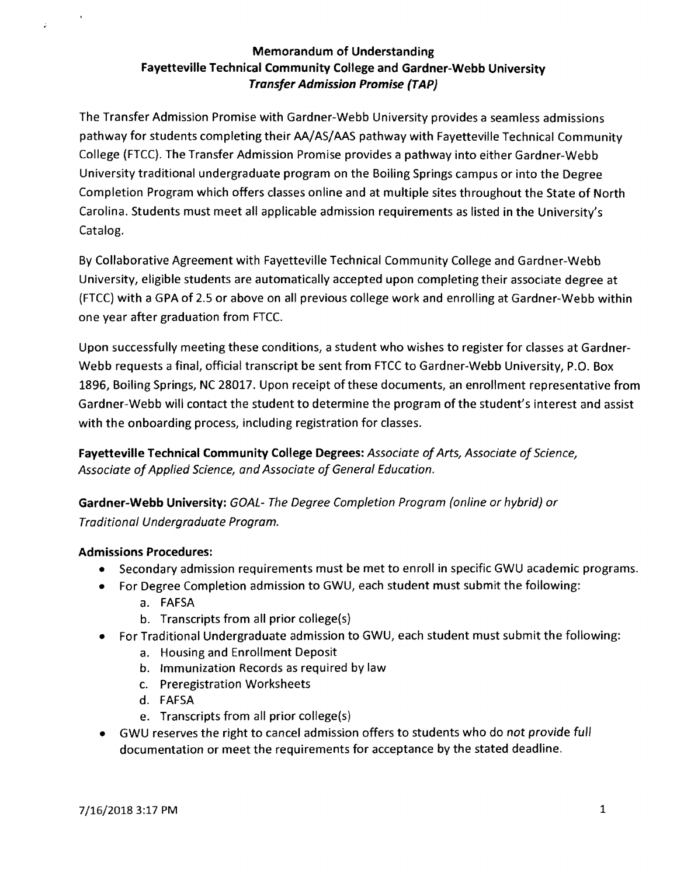# Memorandum of Understanding Fayetteville Technical Community College and Gardner-Webb University Transfer Admission Promise (TAP)

The Transfer Admission Promise with Gardner-Webb University provides a seamless admissions pathway for students completing their AA/AS/AAS pathway with Fayetteville Technical Community College (FTCC). The Transfer Admission Promise provides a pathway into either Gardner-Webb University traditional undergraduate program on the Boiling Springs campus or into the Degree Completion Program which offers classes online and at multiple sites throughout the State of North Carolina. Students must meet all applicable admission requirements as listed in the University's Catalog.

By Collaborative Agreement with Fayetteville Technical Community College and Gardner-Webb University, eligible students are automatically accepted upon completing their associate degree at (FTCC) with a GPA of 2.5 or above on all previous college work and enrolling at Gardner-Webb within one year after graduation from FTCC.

Upon successfully meeting these conditions, a student who wishes to register for classes at Gardner-Webb requests a final, official transcript be sent from FTCC to Gardner-Webb University, P.O. Box 1896, Boiling Springs, NC 28017. Upon receipt of these documents, an enrollment representative from Gardner-Webb will contact the student to determine the program ofthe student's interest and assist with the onboarding process, including registration for classes.

Fayetteville Technical Community College Degrees: Associate of Arts, Associate of Science, Associate of Applied Science, and Associate of General Education.

Gardner-Webb University: GOAL- The Degree Completion Program (online or hybrid) or Traditional Undergraduate Program.

# Admissions Procedures:

- Secondary admission requirements must be met to enroll in specific GWU academic programs.
- For Degree Completion admission to GWU, each student must submit the following:
	- a. FAFSA
	- b. Transcripts from all prior college(s)
- For Traditional Undergraduate admission to GWU, each student must submit the following:
	- a. Housing and Enrollment Deposit
	- b. Immunization Records as required by law
	- c. Preregistration Worksheets
	- d. FAFSA
	- e. Transcripts from all prior college(s)
- GWU reserves the right to cancel admission offers to students who do not provide full documentation or meet the requirements for acceptance by the stated deadline.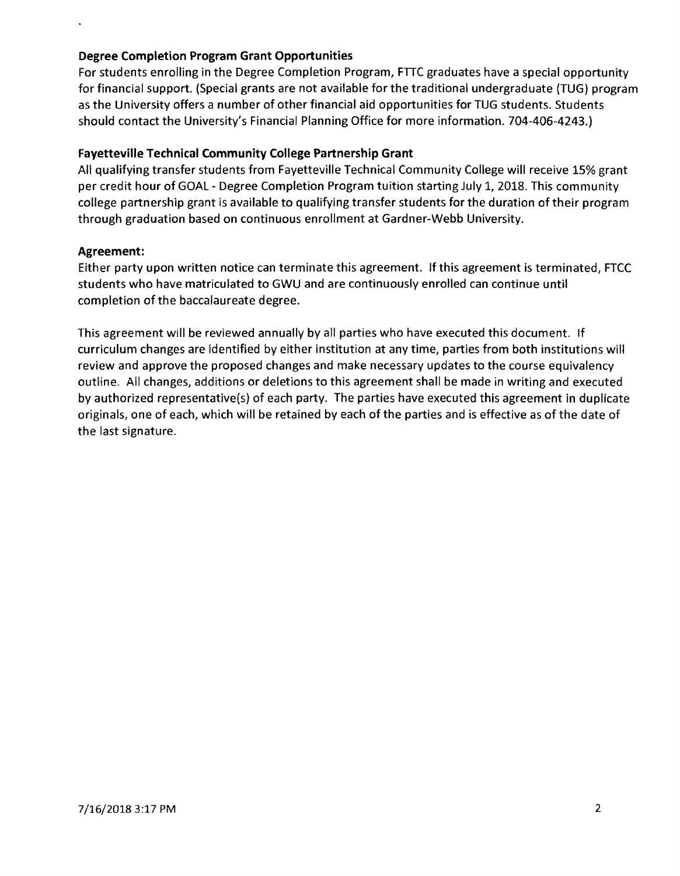## **Degree Completion Program Grant Opportunities**

For students enrolling in the Degree Completion Program, FTIC graduates have a special opportunity for financial support. (Special grants are not available for the traditional undergraduate (TUG) program as the University offers a number of other financial aid opportunities for TUG students. Students should contact the University's Financial Planning Office for more information. 704-406-4243.)

## **Fayetteville Technical Community College Partnership Grant**

All qualifying transfer students from Fayetteville Technical Community College will receive 15% grant per credit hour of GOAL - Degree Completion Program tuition starting July 1,2018. This community college partnership grant is available to qualifying transfer students for the duration of their program through graduation based on continuous enrollment at Gardner-Webb University.

#### **Agreement:**

Either party upon written notice can terminate this agreement. If this agreement is terminated, FTCC students who have matriculated to GWU and are continuously enrolled can continue until completion of the baccalaureate degree.

This agreement will be reviewed annually by all parties who have executed this document. If curriculum changes are identified by either institution at any time, parties from both institutions will review and approve the proposed changes and make necessary updates to the course equivalency outline. All changes, additions or deletions to this agreement shall be made in writing and executed by authorized representative(s) of each party. The parties have executed this agreement in duplicate originals, one of each, which will be retained by each of the parties and is effective as of the date of the last signature.